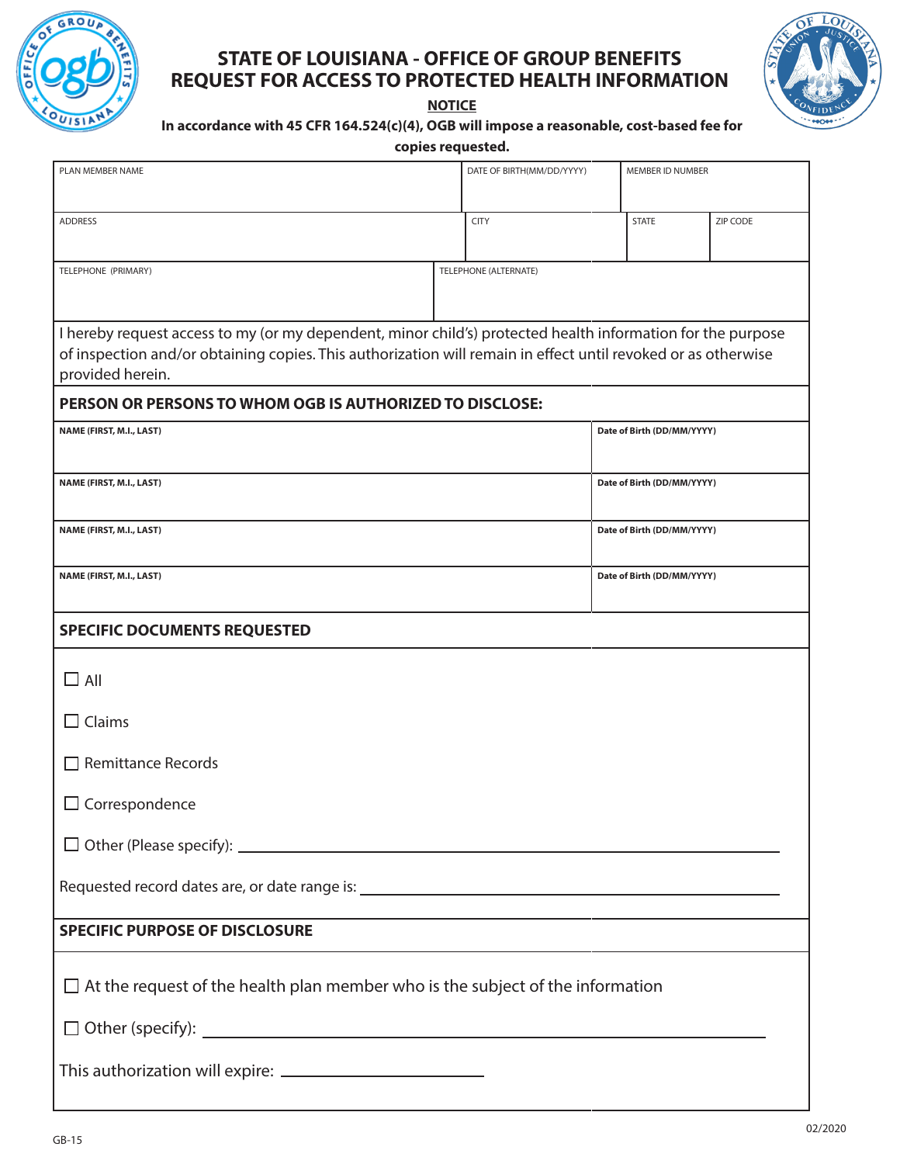

## **STATE OF LOUISIANA - OFFICE OF GROUP BENEFITS REQUEST FOR ACCESS TO PROTECTED HEALTH INFORMATION**

**NOTICE**



## **In accordance with 45 CFR 164.524(c)(4), OGB will impose a reasonable, cost-based fee for**

**copies requested.**

| PLAN MEMBER NAME                                                                                                                                                                                                                                                       |                       | DATE OF BIRTH(MM/DD/YYYY)<br>MEMBER ID NUMBER |                            |              |          |  |
|------------------------------------------------------------------------------------------------------------------------------------------------------------------------------------------------------------------------------------------------------------------------|-----------------------|-----------------------------------------------|----------------------------|--------------|----------|--|
|                                                                                                                                                                                                                                                                        |                       |                                               |                            |              |          |  |
| <b>ADDRESS</b>                                                                                                                                                                                                                                                         |                       | <b>CITY</b>                                   |                            | <b>STATE</b> | ZIP CODE |  |
|                                                                                                                                                                                                                                                                        |                       |                                               |                            |              |          |  |
| TELEPHONE (PRIMARY)                                                                                                                                                                                                                                                    | TELEPHONE (ALTERNATE) |                                               |                            |              |          |  |
|                                                                                                                                                                                                                                                                        |                       |                                               |                            |              |          |  |
| I hereby request access to my (or my dependent, minor child's) protected health information for the purpose                                                                                                                                                            |                       |                                               |                            |              |          |  |
| of inspection and/or obtaining copies. This authorization will remain in effect until revoked or as otherwise<br>provided herein.                                                                                                                                      |                       |                                               |                            |              |          |  |
| PERSON OR PERSONS TO WHOM OGB IS AUTHORIZED TO DISCLOSE:                                                                                                                                                                                                               |                       |                                               |                            |              |          |  |
| NAME (FIRST, M.I., LAST)                                                                                                                                                                                                                                               |                       |                                               | Date of Birth (DD/MM/YYYY) |              |          |  |
|                                                                                                                                                                                                                                                                        |                       |                                               |                            |              |          |  |
| NAME (FIRST, M.I., LAST)                                                                                                                                                                                                                                               |                       |                                               | Date of Birth (DD/MM/YYYY) |              |          |  |
|                                                                                                                                                                                                                                                                        |                       |                                               |                            |              |          |  |
| NAME (FIRST, M.I., LAST)                                                                                                                                                                                                                                               |                       |                                               | Date of Birth (DD/MM/YYYY) |              |          |  |
| NAME (FIRST, M.I., LAST)                                                                                                                                                                                                                                               |                       |                                               | Date of Birth (DD/MM/YYYY) |              |          |  |
|                                                                                                                                                                                                                                                                        |                       |                                               |                            |              |          |  |
| <b>SPECIFIC DOCUMENTS REQUESTED</b>                                                                                                                                                                                                                                    |                       |                                               |                            |              |          |  |
| $\Box$ All                                                                                                                                                                                                                                                             |                       |                                               |                            |              |          |  |
| $\Box$ Claims                                                                                                                                                                                                                                                          |                       |                                               |                            |              |          |  |
| $\Box$ Remittance Records                                                                                                                                                                                                                                              |                       |                                               |                            |              |          |  |
| Correspondence                                                                                                                                                                                                                                                         |                       |                                               |                            |              |          |  |
|                                                                                                                                                                                                                                                                        |                       |                                               |                            |              |          |  |
|                                                                                                                                                                                                                                                                        |                       |                                               |                            |              |          |  |
| <b>SPECIFIC PURPOSE OF DISCLOSURE</b><br>the control of the control of the control of the control of the control of the control of the control of the control of the control of the control of the control of the control of the control of the control of the control |                       |                                               |                            |              |          |  |
| $\Box$ At the request of the health plan member who is the subject of the information                                                                                                                                                                                  |                       |                                               |                            |              |          |  |
|                                                                                                                                                                                                                                                                        |                       |                                               |                            |              |          |  |
|                                                                                                                                                                                                                                                                        |                       |                                               |                            |              |          |  |
|                                                                                                                                                                                                                                                                        |                       |                                               |                            |              |          |  |